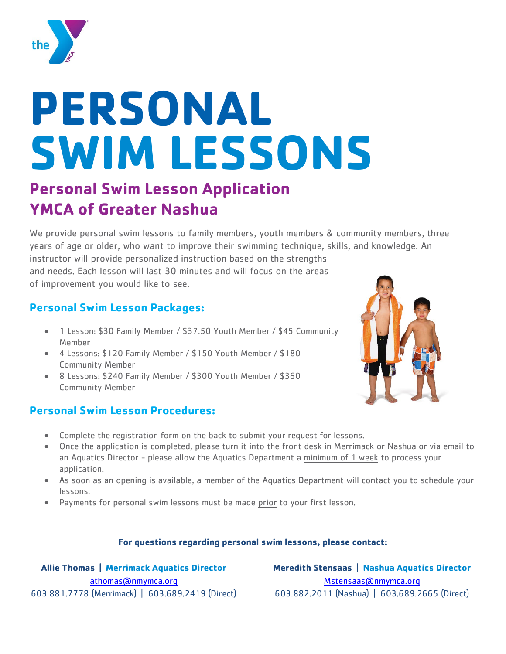

# **PERSONAL SWIM LESSONS**

### **Personal Swim Lesson Application YMCA of Greater Nashua**

We provide personal swim lessons to family members, youth members & community members, three years of age or older, who want to improve their swimming technique, skills, and knowledge. An

instructor will provide personalized instruction based on the strengths and needs. Each lesson will last 30 minutes and will focus on the areas of improvement you would like to see.

#### **Personal Swim Lesson Packages:**

- 1 Lesson: \$30 Family Member / \$37.50 Youth Member / \$45 Community Member
- 4 Lessons: \$120 Family Member / \$150 Youth Member / \$180 Community Member
- 8 Lessons: \$240 Family Member / \$300 Youth Member / \$360 Community Member

#### **Personal Swim Lesson Procedures:**



- Complete the registration form on the back to submit your request for lessons.
- Once the application is completed, please turn it into the front desk in Merrimack or Nashua or via email to an Aquatics Director - please allow the Aquatics Department a minimum of 1 week to process your application.
- As soon as an opening is available, a member of the Aquatics Department will contact you to schedule your lessons.
- Payments for personal swim lessons must be made prior to your first lesson.

#### **For questions regarding personal swim lessons, please contact:**

**Allie Thomas | Merrimack Aquatics Director** [athomas@nmymca.org](mailto:athomas@nmymca.org) 603.881.7778 (Merrimack) | 603.689.2419 (Direct)

**Meredith Stensaas | Nashua Aquatics Director** Mstensaas@nmymca.org 603.882.2011 (Nashua) | 603.689.2665 (Direct)